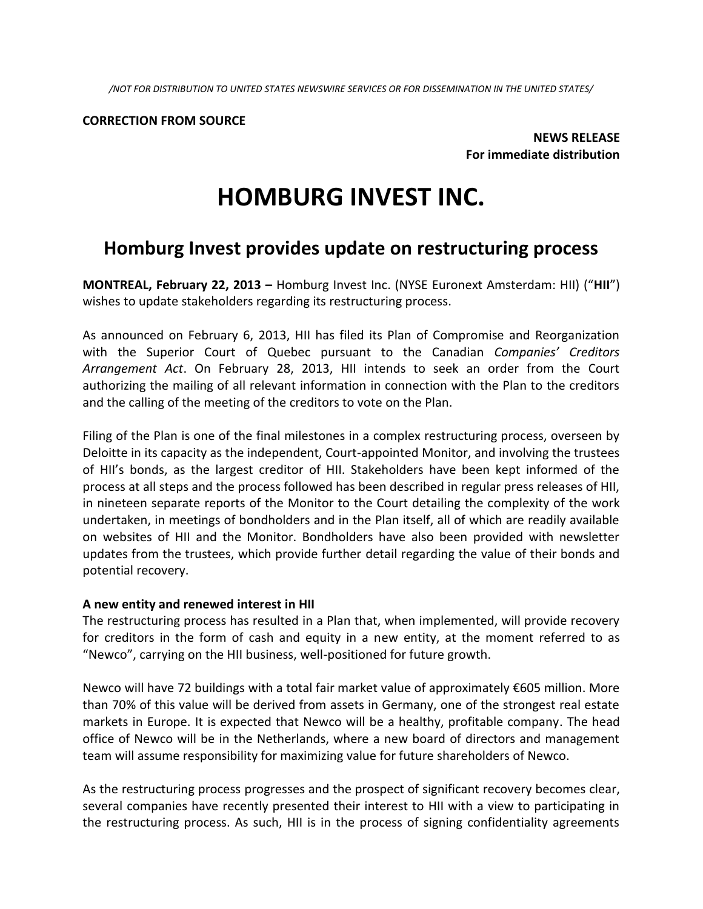*/NOT FOR DISTRIBUTION TO UNITED STATES NEWSWIRE SERVICES OR FOR DISSEMINATION IN THE UNITED STATES/*

#### **CORRECTION FROM SOURCE**

**NEWS RELEASE For immediate distribution**

# **HOMBURG INVEST INC.**

## **Homburg Invest provides update on restructuring process**

**MONTREAL, February 22, 2013 –** Homburg Invest Inc. (NYSE Euronext Amsterdam: HII) ("**HII**") wishes to update stakeholders regarding its restructuring process.

As announced on February 6, 2013, HII has filed its Plan of Compromise and Reorganization with the Superior Court of Quebec pursuant to the Canadian *Companies' Creditors Arrangement Act*. On February 28, 2013, HII intends to seek an order from the Court authorizing the mailing of all relevant information in connection with the Plan to the creditors and the calling of the meeting of the creditors to vote on the Plan.

Filing of the Plan is one of the final milestones in a complex restructuring process, overseen by Deloitte in its capacity as the independent, Court-appointed Monitor, and involving the trustees of HII's bonds, as the largest creditor of HII. Stakeholders have been kept informed of the process at all steps and the process followed has been described in regular press releases of HII, in nineteen separate reports of the Monitor to the Court detailing the complexity of the work undertaken, in meetings of bondholders and in the Plan itself, all of which are readily available on websites of HII and the Monitor. Bondholders have also been provided with newsletter updates from the trustees, which provide further detail regarding the value of their bonds and potential recovery.

#### **A new entity and renewed interest in HII**

The restructuring process has resulted in a Plan that, when implemented, will provide recovery for creditors in the form of cash and equity in a new entity, at the moment referred to as "Newco", carrying on the HII business, well-positioned for future growth.

Newco will have 72 buildings with a total fair market value of approximately €605 million. More than 70% of this value will be derived from assets in Germany, one of the strongest real estate markets in Europe. It is expected that Newco will be a healthy, profitable company. The head office of Newco will be in the Netherlands, where a new board of directors and management team will assume responsibility for maximizing value for future shareholders of Newco.

As the restructuring process progresses and the prospect of significant recovery becomes clear, several companies have recently presented their interest to HII with a view to participating in the restructuring process. As such, HII is in the process of signing confidentiality agreements